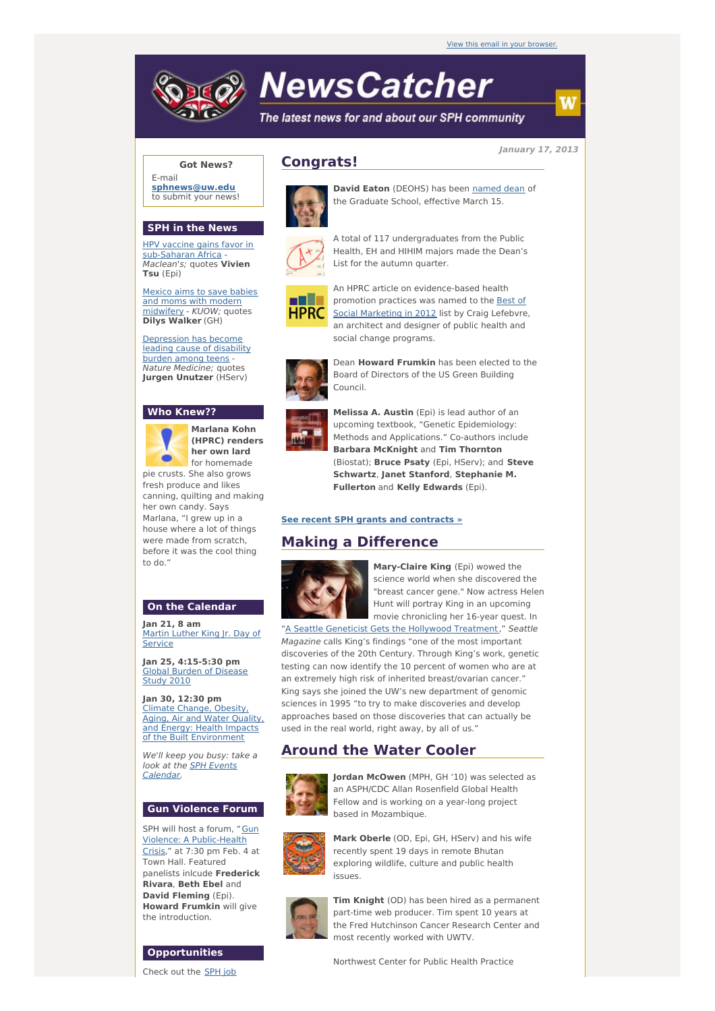# **NewsCatcher**

The latest news for and about our SPH community

List for the autumn quarter.

#### **January 17, 2013**

## **Got News?**

E-mail **[sphnews@uw.edu](mailto:sphnews@uw.edu)** to submit your news!

## **SPH in the News**

HPV vaccine gains favor in [sub-Saharan](http://engage.washington.edu/site/R?i=Mvf6caJ7pv1aCFXQ80S55Q) Africa - Maclean's; quotes **Vivien Tsu** (Epi)

Mexico aims to save babies and moms with modern [midwifery](http://engage.washington.edu/site/R?i=AhcOjRHEdX2FLEfkL6k4Bg) - KUOW; quotes **Dilys Walker** (GH)

[Depression](http://engage.washington.edu/site/R?i=RU6fjgGyR-fGoneusnBLjw) has become leading cause of disability burden among teens - Nature Medicine; quotes **Jurgen Unutzer** (HServ)

#### **Who Knew??**



**Marlana Kohn (HPRC) renders her own lard** for homemade

pie crusts. She also grows fresh produce and likes canning, quilting and making her own candy. Says Marlana, "I grew up in a house where a lot of things were made from scratch, before it was the cool thing to do."

## **On the Calendar**

**Jan 21, 8 am** Martin Luther King Jr. Day of [Service](http://engage.washington.edu/site/R?i=ywIu67FXWZNlUSatgxK6sw)

**Jan 25, 4:15-5:30 pm** Global Burden of [Disease](http://engage.washington.edu/site/R?i=iw9g0z_dExQHUwmhHE2HwQ) Study 2010

**Jan 30, 12:30 pm** Climate Change, Obesity, Aging, Air and Water Quality, and Energy: Health Impacts of the Built [Environment](http://engage.washington.edu/site/R?i=diuKwpLcCFrgBZABaHWz9w)

We'll keep you busy: take a look at the **SPH Events** [Calendar.](http://engage.washington.edu/site/R?i=roS76sXfXm5AXufxAhPqrA)

## **Gun Violence Forum**

SPH will host a forum, "Gun Violence: A [Public-Health](http://engage.washington.edu/site/R?i=RdVe6m0_sXMKCzWo7frYvw) Crisis," at 7:30 pm Feb. 4 at Town Hall. Featured panelists inlcude **Frederick Rivara**, **Beth Ebel** and **David Fleming** (Epi). **Howard Frumkin** will give the introduction.

#### **Opportunities**

Check out the SPH job

# **Congrats!**



**David Eaton** (DEOHS) has been [named](http://engage.washington.edu/site/R?i=I1ss7gFCHCrLxnBV95C-dQ) dean of the Graduate School, effective March 15.

A total of 117 undergraduates from the Public Health, EH and HIHIM majors made the Dean's



An HPRC article on evidence-based health [promotion](http://engage.washington.edu/site/R?i=H0WNhAJt6hZtzyD3-c7btg) practices was named to the Best of Social Marketing in 2012 list by Craig Lefebvre, an architect and designer of public health and social change programs.



Dean **Howard Frumkin** has been elected to the Board of Directors of the US Green Building Council.



**Melissa A. Austin** (Epi) is lead author of an upcoming textbook, "Genetic Epidemiology: Methods and Applications." Co-authors include **Barbara McKnight** and **Tim Thornton** (Biostat); **Bruce Psaty** (Epi, HServ); and **Steve Schwartz**, **Janet Stanford**, **Stephanie M. Fullerton** and **Kelly Edwards** (Epi).

#### **See recent SPH grants and [contracts](http://engage.washington.edu/site/R?i=XCKsMmsSBtkeAB9M1bVl7g) »**

# **Making a Difference**



**Mary-Claire King** (Epi) wowed the science world when she discovered the "breast cancer gene." Now actress Helen Hunt will portray King in an upcoming movie chronicling her 16-year quest. In "A Seattle Geneticist Gets the Hollywood [Treatment](http://engage.washington.edu/site/R?i=JSGamOt6mTSFUJir64Z5IQ)," Seattle

Magazine calls King's findings "one of the most important discoveries of the 20th Century. Through King's work, genetic testing can now identify the 10 percent of women who are at an extremely high risk of inherited breast/ovarian cancer." King says she joined the UW's new department of genomic sciences in 1995 "to try to make discoveries and develop approaches based on those discoveries that can actually be used in the real world, right away, by all of us."

# **Around the Water Cooler**



**Jordan McOwen** (MPH, GH '10) was selected as an ASPH/CDC Allan Rosenfield Global Health Fellow and is working on a year-long project based in Mozambique.



**Mark Oberle** (OD, Epi, GH, HServ) and his wife recently spent 19 days in remote Bhutan exploring wildlife, culture and public health issues.



**Tim Knight** (OD) has been hired as a permanent part-time web producer. Tim spent 10 years at the Fred Hutchinson Cancer Research Center and most recently worked with UWTV.

Northwest Center for Public Health Practice